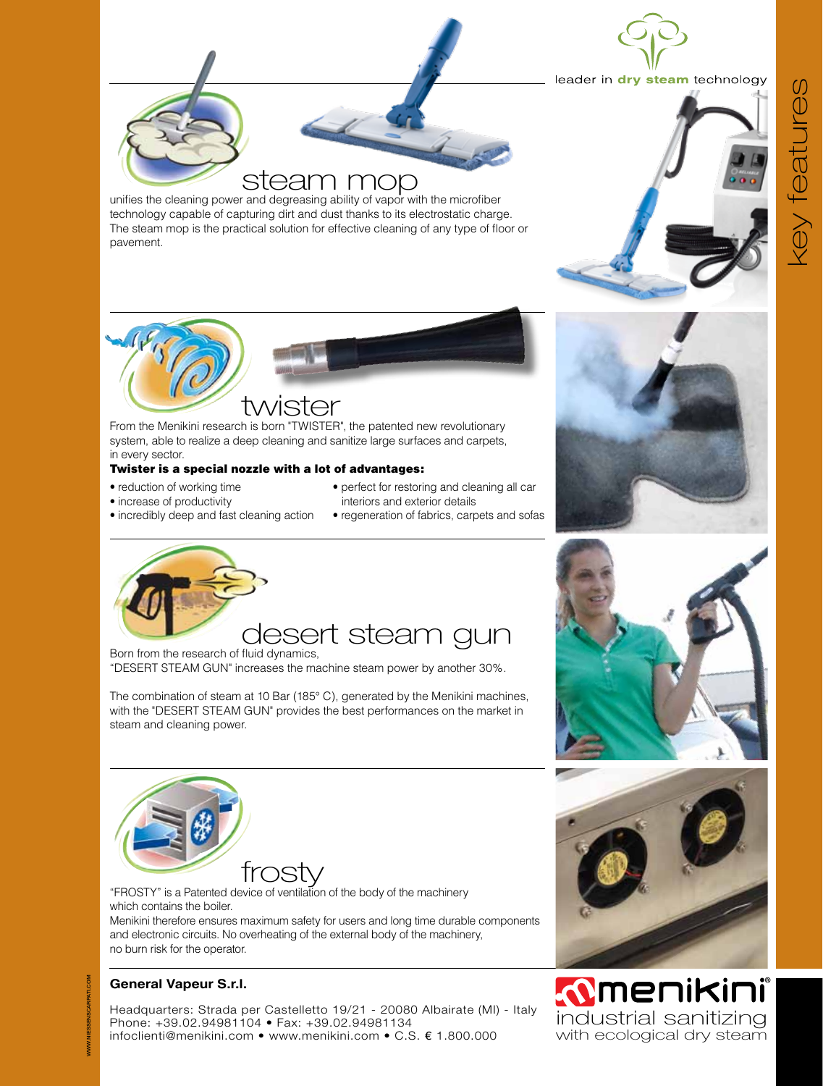

#### leader in dry steam technology

# steam mop

unifies the cleaning power and degreasing ability of vapor with the microfiber technology capable of capturing dirt and dust thanks to its electrostatic charge. The steam mop is the practical solution for effective cleaning of any type of floor or pavement.



## twister

From the Menikini research is born "TWISTER", the patented new revolutionary system, able to realize a deep cleaning and sanitize large surfaces and carpets, in every sector.

#### Twister is a special nozzle with a lot of advantages:

- reduction of working time
- increase of productivity
- perfect for restoring and cleaning all car interiors and exterior details
- regeneration of fabrics, carpets and sofas



• incredibly deep and fast cleaning action

Born from the research of fluid dynamics,

"DESERT STEAM GUN" increases the machine steam power by another 30%.

The combination of steam at 10 Bar (185° C), generated by the Menikini machines, with the "DESERT STEAM GUN" provides the best performances on the market in steam and cleaning power.



frosty<br>
"FROSTY" is a Patented device of ventilation of the body of the machinery which contains the boiler.

Menikini therefore ensures maximum safety for users and long time durable components and electronic circuits. No overheating of the external body of the machinery, no burn risk for the operator.

### **General Vapeur S.r.l.**

Headquarters: Strada per Castelletto 19/21 - 20080 Albairate (MI) - Italy Phone: +39.02.94981104 • Fax: +39.02.94981134 infoclienti@menikini.com • www.menikini.com • C.S. € 1.800.000









**MENIKINI**<br>Industrial sanitizing with ecological dry steam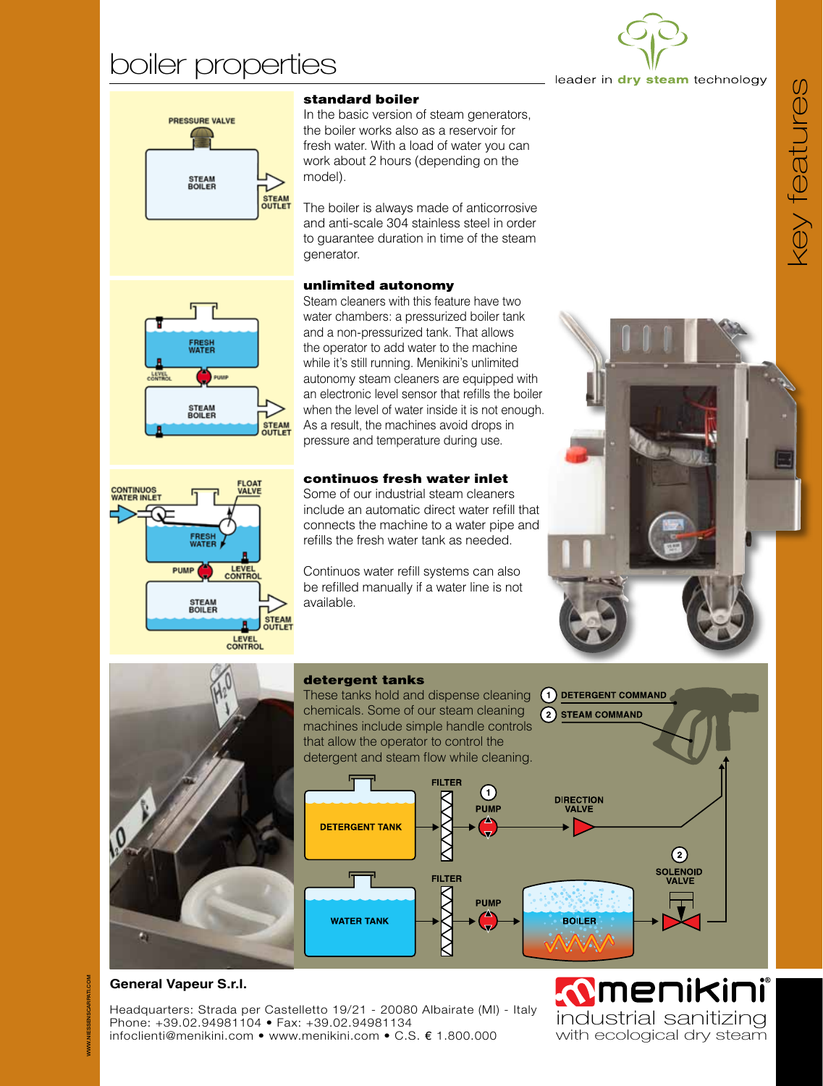# boiler properties



leader in dry steam technology



#### standard boiler

In the basic version of steam generators, the boiler works also as a reservoir for fresh water. With a load of water you can work about 2 hours (depending on the model).

The boiler is always made of anticorrosive and anti-scale 304 stainless steel in order to guarantee duration in time of the steam generator.

#### unlimited autonomy

Steam cleaners with this feature have two water chambers: a pressurized boiler tank and a non-pressurized tank. That allows the operator to add water to the machine while it's still running. Menikini's unlimited autonomy steam cleaners are equipped with an electronic level sensor that refills the boiler when the level of water inside it is not enough. As a result, the machines avoid drops in pressure and temperature during use.

#### continuos fresh water inlet

Some of our industrial steam cleaners include an automatic direct water refill that connects the machine to a water pipe and refills the fresh water tank as needed.

Continuos water refill systems can also be refilled manually if a water line is not available.







### **General Vapeur S.r.l.**

Headquarters: Strada per Castelletto 19/21 - 20080 Albairate (MI) - Italy Phone: +39.02.94981104 • Fax: +39.02.94981134 infoclienti@menikini.com • www.menikini.com • C.S. € 1.800.000





**: <b>OMENIKINI**<br>industrial sanitizing with ecological dry steam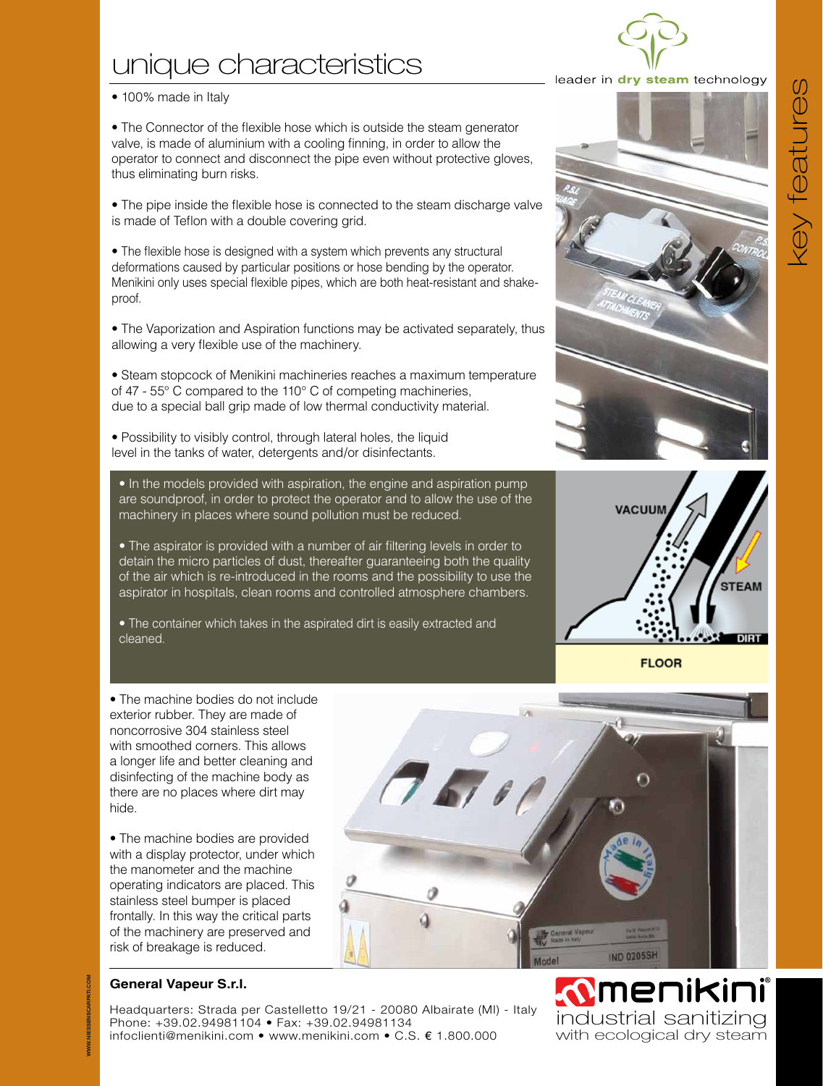#### Headquarters: Strada per Castelletto 19/21 - 20080 Albairate (MI) - Italy Phone: +39.02.94981104 • Fax: +39.02.94981134 infoclienti@menikini.com • www.menikini.com • C.S. € 1.800.000

# unique characteristics

#### • 100% made in Italy

• The Connector of the flexible hose which is outside the steam generator valve, is made of aluminium with a cooling finning, in order to allow the operator to connect and disconnect the pipe even without protective gloves, thus eliminating burn risks.

• The pipe inside the flexible hose is connected to the steam discharge valve is made of Teflon with a double covering grid.

• The flexible hose is designed with a system which prevents any structural deformations caused by particular positions or hose bending by the operator. Menikini only uses special flexible pipes, which are both heat-resistant and shakeproof.

• The Vaporization and Aspiration functions may be activated separately, thus allowing a very flexible use of the machinery.

• Steam stopcock of Menikini machineries reaches a maximum temperature of 47 - 55° C compared to the 110° C of competing machineries, due to a special ball grip made of low thermal conductivity material.

• Possibility to visibly control, through lateral holes, the liquid level in the tanks of water, detergents and/or disinfectants.

• In the models provided with aspiration, the engine and aspiration pump are soundproof, in order to protect the operator and to allow the use of the machinery in places where sound pollution must be reduced.

• The aspirator is provided with a number of air filtering levels in order to detain the micro particles of dust, thereafter guaranteeing both the quality of the air which is re-introduced in the rooms and the possibility to use the aspirator in hospitals, clean rooms and controlled atmosphere chambers.

• The container which takes in the aspirated dirt is easily extracted and cleaned.





**FLOOR** 

• The machine bodies do not include exterior rubber. They are made of noncorrosive 304 stainless steel with smoothed corners. This allows a longer life and better cleaning and disinfecting of the machine body as there are no places where dirt may hide.

• The machine bodies are provided with a display protector, under which the manometer and the machine operating indicators are placed. This stainless steel bumper is placed frontally. In this way the critical parts of the machinery are preserved and risk of breakage is reduced.

### **General Vapeur S.r.l.**

 $678$ 

*C***MENIKINI**<br>industrial sanitizing with ecological dry steam

**IND 0205SH** 





key features key teatures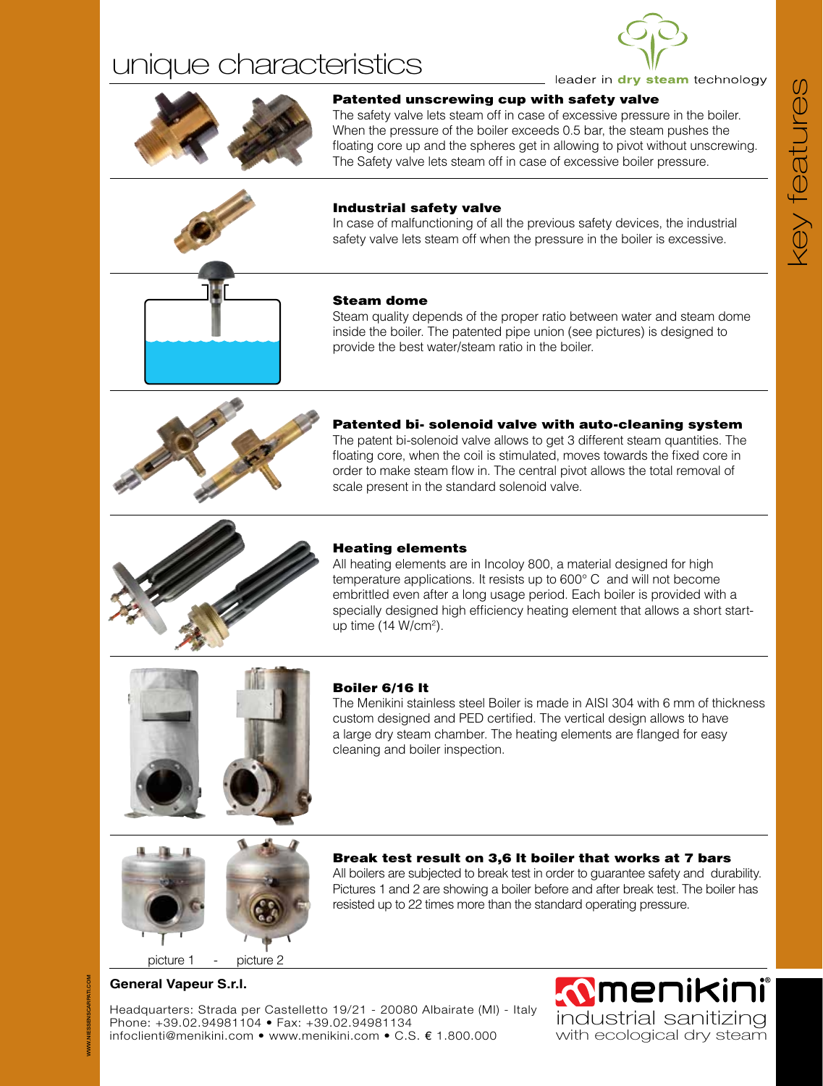# unique characteristics





### Patented unscrewing cup with safety valve

The safety valve lets steam off in case of excessive pressure in the boiler. When the pressure of the boiler exceeds 0.5 bar, the steam pushes the floating core up and the spheres get in allowing to pivot without unscrewing. The Safety valve lets steam off in case of excessive boiler pressure.



#### Industrial safety valve

In case of malfunctioning of all the previous safety devices, the industrial safety valve lets steam off when the pressure in the boiler is excessive.

#### Steam dome

Steam quality depends of the proper ratio between water and steam dome inside the boiler. The patented pipe union (see pictures) is designed to provide the best water/steam ratio in the boiler.



#### Patented bi- solenoid valve with auto-cleaning system The patent bi-solenoid valve allows to get 3 different steam quantities. The

floating core, when the coil is stimulated, moves towards the fixed core in order to make steam flow in. The central pivot allows the total removal of scale present in the standard solenoid valve.



#### Heating elements

All heating elements are in Incoloy 800, a material designed for high temperature applications. It resists up to 600° C and will not become embrittled even after a long usage period. Each boiler is provided with a specially designed high efficiency heating element that allows a short startup time (14 W/cm<sup>2</sup>).





#### Boiler 6/16 lt

The Menikini stainless steel Boiler is made in AISI 304 with 6 mm of thickness custom designed and PED certified. The vertical design allows to have a large dry steam chamber. The heating elements are flanged for easy cleaning and boiler inspection.



Break test result on 3,6 lt boiler that works at 7 bars All boilers are subjected to break test in order to guarantee safety and durability.

Pictures 1 and 2 are showing a boiler before and after break test. The boiler has resisted up to 22 times more than the standard operating pressure.

picture 1 - picture 2

### **General Vapeur S.r.l.**

Headquarters: Strada per Castelletto 19/21 - 20080 Albairate (MI) - Italy Phone: +39.02.94981104 • Fax: +39.02.94981134 infoclienti@menikini.com • www.menikini.com • C.S. € 1.800.000